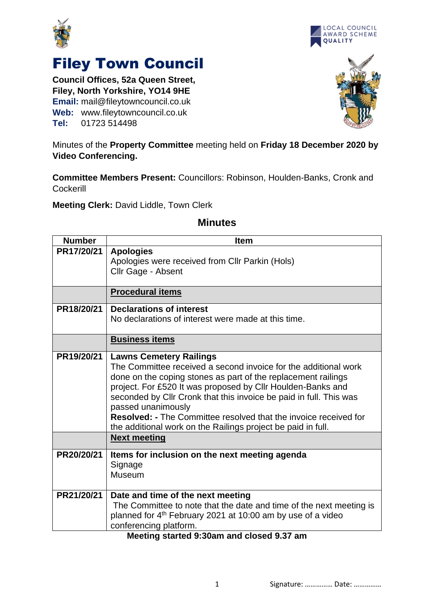



**Council Offices, 52a Queen Street, Filey, North Yorkshire, YO14 9HE Email:** mail@fileytowncouncil.co.uk **Web:** www.fileytowncouncil.co.uk **Tel:** 01723 514498





Minutes of the **Property Committee** meeting held on **Friday 18 December 2020 by Video Conferencing.**

**Committee Members Present:** Councillors: Robinson, Houlden-Banks, Cronk and **Cockerill** 

**Meeting Clerk:** David Liddle, Town Clerk

## **Number Item PR17/20/21 Apologies** Apologies were received from Cllr Parkin (Hols) Cllr Gage - Absent **Procedural items PR18/20/21 Declarations of interest** No declarations of interest were made at this time. **Business items PR19/20/21 Lawns Cemetery Railings** The Committee received a second invoice for the additional work done on the coping stones as part of the replacement railings project. For £520 It was proposed by Cllr Houlden-Banks and seconded by Cllr Cronk that this invoice be paid in full. This was passed unanimously **Resolved: -** The Committee resolved that the invoice received for the additional work on the Railings project be paid in full. **Next meeting PR20/20/21 Items for inclusion on the next meeting agenda Signage** Museum **PR21/20/21 Date and time of the next meeting** The Committee to note that the date and time of the next meeting is planned for 4th February 2021 at 10:00 am by use of a video conferencing platform. **Meeting started 9:30am and closed 9.37 am**

## **Minutes**